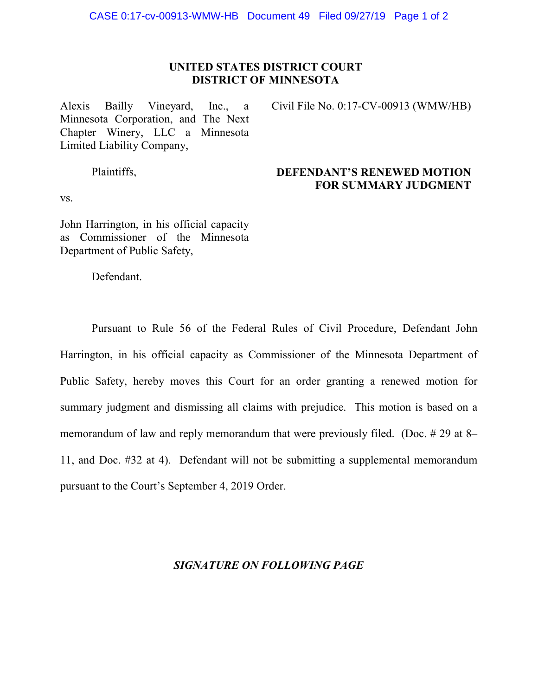## **UNITED STATES DISTRICT COURT DISTRICT OF MINNESOTA**

Alexis Bailly Vineyard, Inc., a Minnesota Corporation, and The Next Chapter Winery, LLC a Minnesota Limited Liability Company,

Civil File No. 0:17-CV-00913 (WMW/HB)

Plaintiffs,

## **DEFENDANT'S RENEWED MOTION FOR SUMMARY JUDGMENT**

vs.

John Harrington, in his official capacity as Commissioner of the Minnesota Department of Public Safety,

Defendant.

Pursuant to Rule 56 of the Federal Rules of Civil Procedure, Defendant John Harrington, in his official capacity as Commissioner of the Minnesota Department of Public Safety, hereby moves this Court for an order granting a renewed motion for summary judgment and dismissing all claims with prejudice. This motion is based on a memorandum of law and reply memorandum that were previously filed. (Doc. # 29 at 8– 11, and Doc. #32 at 4). Defendant will not be submitting a supplemental memorandum pursuant to the Court's September 4, 2019 Order.

## *SIGNATURE ON FOLLOWING PAGE*